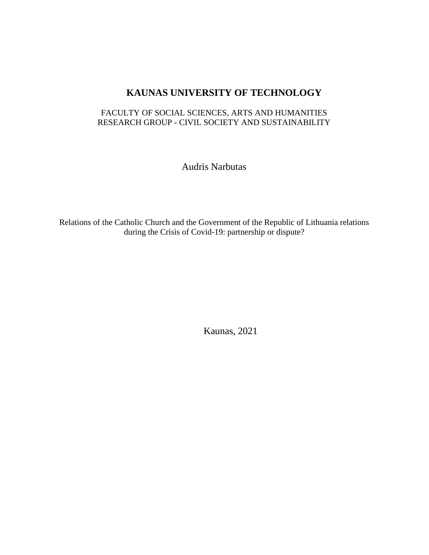# **KAUNAS UNIVERSITY OF TECHNOLOGY**

## FACULTY OF SOCIAL SCIENCES, ARTS AND HUMANITIES RESEARCH GROUP - CIVIL SOCIETY AND SUSTAINABILITY

Audris Narbutas

Relations of the Catholic Church and the Government of the Republic of Lithuania relations during the Crisis of Covid-19: partnership or dispute?

Kaunas, 2021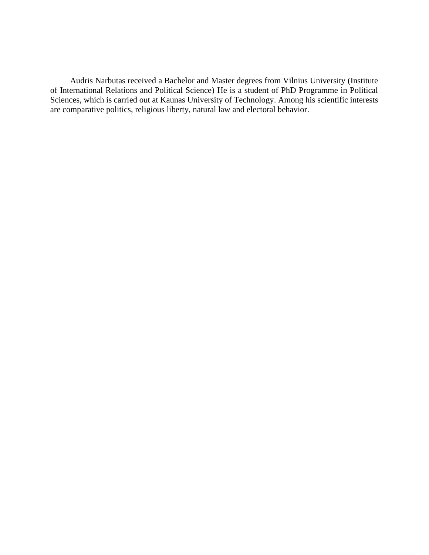Audris Narbutas received a Bachelor and Master degrees from Vilnius University (Institute of International Relations and Political Science) He is a student of PhD Programme in Political Sciences, which is carried out at Kaunas University of Technology. Among his scientific interests are comparative politics, religious liberty, natural law and electoral behavior.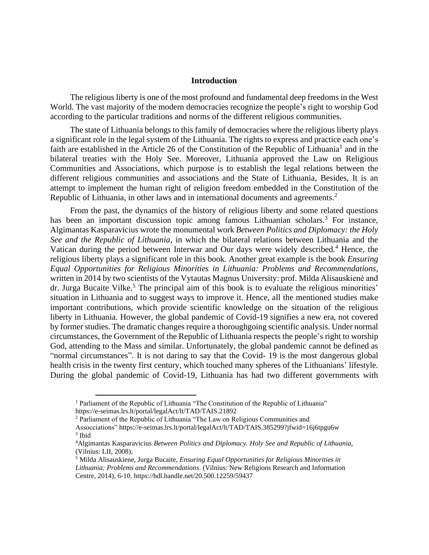#### **Introduction**

The religious liberty is one of the most profound and fundamental deep freedoms in the West World. The vast majority of the modern democracies recognize the people's right to worship God according to the particular traditions and norms of the different religious communities.

The state of Lithuania belongs to this family of democracies where the religious liberty plays a significant role in the legal system of the Lithuania. The rights to express and practice each one's faith are established in the Article 26 of the Constitution of the Republic of Lithuania<sup>1</sup> and in the bilateral treaties with the Holy See. Moreover, Lithuania approved the Law on Religious Communities and Associations, which purpose is to establish the legal relations between the different religious communities and associations and the State of Lithuania, Besides, It is an attempt to implement the human right of religion freedom embedded in the Constitution of the Republic of Lithuania, in other laws and in international documents and agreements.<sup>2</sup>

From the past, the dynamics of the history of religious liberty and some related questions has been an important discussion topic among famous Lithuanian scholars.<sup>3</sup> For instance, Algimantas Kasparavicius wrote the monumental work *Between Politics and Diplomacy: the Holy See and the Republic of Lithuania*, in which the bilateral relations between Lithuania and the Vatican during the period between Interwar and Our days were widely described. <sup>4</sup> Hence, the religious liberty plays a significant role in this book. Another great example is the book *Ensuring Equal Opportunities for Religious Minorities in Lithuania: Problems and Recommendations*, written in 2014 by two scientists of the Vytautas Magnus University: prof. Milda Alisauskienė and dr. Jurga Bucaite Vilke.<sup>5</sup> The principal aim of this book is to evaluate the religious minorities' situation in Lithuania and to suggest ways to improve it. Hence, all the mentioned studies make important contributions, which provide scientific knowledge on the situation of the religious liberty in Lithuania. However, the global pandemic of Covid-19 signifies a new era, not covered by former studies. The dramatic changes require a thoroughgoing scientific analysis. Under normal circumstances, the Government of the Republic of Lithuania respects the people's right to worship God, attending to the Mass and similar. Unfortunately, the global pandemic cannot be defined as "normal circumstances". It is not daring to say that the Covid- 19 is the most dangerous global health crisis in the twenty first century, which touched many spheres of the Lithuanians' lifestyle. During the global pandemic of Covid-19, Lithuania has had two different governments with

<sup>&</sup>lt;sup>1</sup> Parliament of the Republic of Lithuania "The Constitution of the Republic of Lithuania" https://e-seimas.lrs.lt/portal/legalAct/lt/TAD/TAIS.21892

<sup>&</sup>lt;sup>2</sup> Parliament of the Republic of Lithuania "The Law on Religious Communities and

Assocciations" https://e-seimas.lrs.lt/portal/legalAct/lt/TAD/TAIS.385299?jfwid=16j6tpgu6w 3 Ibid

<sup>4</sup>Algimantas Kasparavicius *Between Politics and Diplomacy. Holy See and Republic of Lithuania,* (Vilnius: LII, 2008),

<sup>5</sup> Milda Alisauskiene, Jurga Bucaite, *Ensuring Equal Opportunities for Religious Minorities in Lithuania: Problems and Recommendations*. (Vilnius: New Religions Research and Information Centre, 2014), 6-10. https://hdl.handle.net/20.500.12259/59437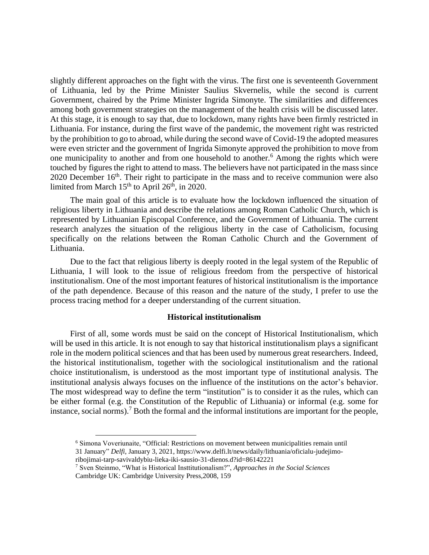slightly different approaches on the fight with the virus. The first one is seventeenth Government of Lithuania, led by the Prime Minister Saulius Skvernelis, while the second is current Government, chaired by the Prime Minister Ingrida Simonyte. The similarities and differences among both government strategies on the management of the health crisis will be discussed later. At this stage, it is enough to say that, due to lockdown, many rights have been firmly restricted in Lithuania. For instance, during the first wave of the pandemic, the movement right was restricted by the prohibition to go to abroad, while during the second wave of Covid-19 the adopted measures were even stricter and the government of Ingrida Simonyte approved the prohibition to move from one municipality to another and from one household to another.<sup>6</sup> Among the rights which were touched by figures the right to attend to mass. The believers have not participated in the mass since 2020 December 16<sup>th</sup>. Their right to participate in the mass and to receive communion were also limited from March  $15<sup>th</sup>$  to April  $26<sup>th</sup>$ , in 2020.

The main goal of this article is to evaluate how the lockdown influenced the situation of religious liberty in Lithuania and describe the relations among Roman Catholic Church, which is represented by Lithuanian Episcopal Conference, and the Government of Lithuania. The current research analyzes the situation of the religious liberty in the case of Catholicism, focusing specifically on the relations between the Roman Catholic Church and the Government of Lithuania.

Due to the fact that religious liberty is deeply rooted in the legal system of the Republic of Lithuania, I will look to the issue of religious freedom from the perspective of historical institutionalism. One of the most important features of historical institutionalism is the importance of the path dependence. Because of this reason and the nature of the study, I prefer to use the process tracing method for a deeper understanding of the current situation.

#### **Historical institutionalism**

First of all, some words must be said on the concept of Historical Institutionalism, which will be used in this article. It is not enough to say that historical institutionalism plays a significant role in the modern political sciences and that has been used by numerous great researchers. Indeed, the historical institutionalism, together with the sociological institutionalism and the rational choice institutionalism, is understood as the most important type of institutional analysis. The institutional analysis always focuses on the influence of the institutions on the actor's behavior. The most widespread way to define the term "institution" is to consider it as the rules, which can be either formal (e.g. the Constitution of the Republic of Lithuania) or informal (e.g. some for instance, social norms). <sup>7</sup> Both the formal and the informal institutions are important for the people,

<sup>6</sup> Simona Voveriunaite, "Official: Restrictions on movement between municipalities remain until 31 January" *Delfi*, January 3, 2021, https://www.delfi.lt/news/daily/lithuania/oficialu-judejimo-

ribojimai-tarp-savivaldybiu-lieka-iki-sausio-31-dienos.d?id=86142221

<sup>7</sup> Sven Steinmo, "What is Historical Insttitutionalism?", *Approaches in the Social Sciences* Cambridge UK: Cambridge University Press,2008, 159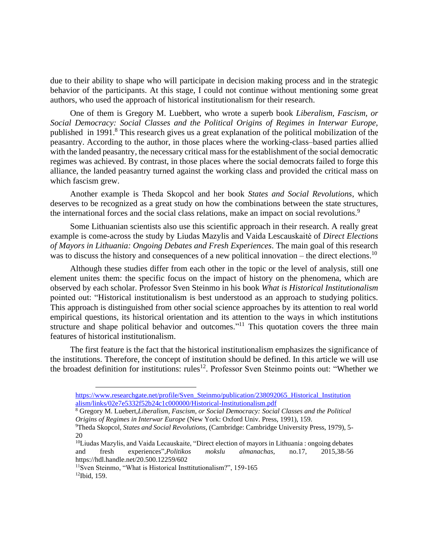due to their ability to shape who will participate in decision making process and in the strategic behavior of the participants. At this stage, I could not continue without mentioning some great authors, who used the approach of historical institutionalism for their research.

One of them is Gregory M. Luebbert, who wrote a superb book *Liberalism, Fascism, or Social Democracy: Social Classes and the Political Origins of Regimes in Interwar Europe,*  published in 1991.<sup>8</sup> This research gives us a great explanation of the political mobilization of the peasantry. According to the author, in those places where the working-class–based parties allied with the landed peasantry, the necessary critical mass for the establishment of the social democratic regimes was achieved. By contrast, in those places where the social democrats failed to forge this alliance, the landed peasantry turned against the working class and provided the critical mass on which fascism grew.

Another example is Theda Skopcol and her book *States and Social Revolutions*, which deserves to be recognized as a great study on how the combinations between the state structures, the international forces and the social class relations, make an impact on social revolutions.<sup>9</sup>

Some Lithuanian scientists also use this scientific approach in their research. A really great example is come-across the study by Liudas Mazylis and Vaida Lescauskaitė of *Direct Elections of Mayors in Lithuania: Ongoing Debates and Fresh Experiences*. The main goal of this research was to discuss the history and consequences of a new political innovation – the direct elections.<sup>10</sup>

Although these studies differ from each other in the topic or the level of analysis, still one element unites them: the specific focus on the impact of history on the phenomena, which are observed by each scholar. Professor Sven Steinmo in his book *What is Historical Institutionalism* pointed out: "Historical institutionalism is best understood as an approach to studying politics. This approach is distinguished from other social science approaches by its attention to real world empirical questions, its historical orientation and its attention to the ways in which institutions structure and shape political behavior and outcomes.<sup>"<sup>11</sup> This quotation covers the three main</sup> features of historical institutionalism.

The first feature is the fact that the historical institutionalism emphasizes the significance of the institutions. Therefore, the concept of institution should be defined. In this article we will use the broadest definition for institutions: rules<sup>12</sup>. Professor Sven Steinmo points out: "Whether we

[https://www.researchgate.net/profile/Sven\\_Steinmo/publication/238092065\\_Historical\\_Institution](https://www.researchgate.net/profile/Sven_Steinmo/publication/238092065_Historical_Institutionalism/links/02e7e5332f52b24c1c000000/Historical-Institutionalism.pdf) [alism/links/02e7e5332f52b24c1c000000/Historical-Institutionalism.pdf](https://www.researchgate.net/profile/Sven_Steinmo/publication/238092065_Historical_Institutionalism/links/02e7e5332f52b24c1c000000/Historical-Institutionalism.pdf)

<sup>8</sup> Gregory M. Luebert,*Liberalism, Fascism, or Social Democracy: Social Classes and the Political Origins of Regimes in Interwar Europe* (New York: Oxford Univ. Press, 1991), 159.

<sup>9</sup>Theda Skopcol, *States and Social Revolutions,* (Cambridge: Cambridge University Press, 1979), 5- 20

<sup>&</sup>lt;sup>10</sup>Liudas Mazylis, and Vaida Lecauskaite, "Direct election of mayors in Lithuania : ongoing debates and fresh experiences",*Politikos mokslu almanachas,* no.17, 2015,38-56 https://hdl.handle.net/20.500.12259/602

<sup>11</sup>Sven Steinmo, "What is Historical Insttitutionalism?", 159-165

<sup>12</sup>Ibid, 159.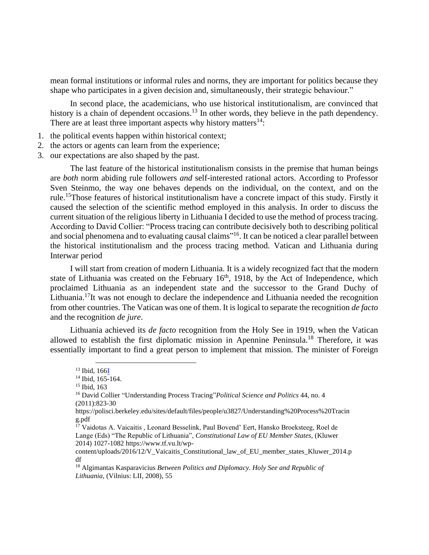mean formal institutions or informal rules and norms, they are important for politics because they shape who participates in a given decision and, simultaneously, their strategic behaviour."

In second place, the academicians, who use historical institutionalism, are convinced that history is a chain of dependent occasions.<sup>13</sup> In other words, they believe in the path dependency. There are at least three important aspects why history matters<sup>14</sup>:

- 1. the political events happen within historical context;
- 2. the actors or agents can learn from the experience;
- 3. our expectations are also shaped by the past.

The last feature of the historical institutionalism consists in the premise that human beings are *both* norm abiding rule followers *and* self-interested rational actors. According to Professor Sven Steinmo, the way one behaves depends on the individual, on the context, and on the rule.<sup>15</sup>Those features of historical institutionalism have a concrete impact of this study. Firstly it caused the selection of the scientific method employed in this analysis. In order to discuss the current situation of the religious liberty in Lithuania I decided to use the method of process tracing. According to David Collier: "Process tracing can contribute decisively both to describing political and social phenomena and to evaluating causal claims"<sup>16</sup>. It can be noticed a clear parallel between the historical institutionalism and the process tracing method. Vatican and Lithuania during Interwar period

I will start from creation of modern Lithuania. It is a widely recognized fact that the modern state of Lithuania was created on the February  $16<sup>th</sup>$ , 1918, by the Act of Independence, which proclaimed Lithuania as an independent state and the successor to the Grand Duchy of Lithuania.<sup>17</sup>It was not enough to declare the independence and Lithuania needed the recognition from other countries. The Vatican was one of them. It is logical to separate the recognition *de facto* and the recognition *de jure*.

Lithuania achieved its *de facto* recognition from the Holy See in 1919, when the Vatican allowed to establish the first diplomatic mission in Apennine Peninsula. <sup>18</sup> Therefore, it was essentially important to find a great person to implement that mission. The minister of Foreign

<sup>13</sup> Ibid, 16[6I](https://www.researchgate.net/profile/Sven_Steinmo/publication/238092065_Historical_Institutionalism/links/02e7e5332f52b24c1c000000/Historical-Institutionalism.pdf)

<sup>14</sup> Ibid, 165-164.

<sup>15</sup> Ibid, 163

<sup>16</sup> David Collier "Understanding Process Tracing"*Political Science and Politics* 44, no. 4 (2011):823-30

https://polisci.berkeley.edu/sites/default/files/people/u3827/Understanding%20Process%20Tracin g.pdf

<sup>&</sup>lt;sup>17</sup> Vaidotas A. Vaicaitis, Leonard Besselink, Paul Bovend' Eert, Hansko Broeksteeg, Roel de Lange (Eds) "The Republic of Lithuania", *Constitutional Law of EU Member States*, (Kluwer 2014) 1027-1082 https://www.tf.vu.lt/wp-

content/uploads/2016/12/V\_Vaicaitis\_Constitutional\_law\_of\_EU\_member\_states\_Kluwer\_2014.p df

<sup>18</sup> Algimantas Kasparavicius *Between Politics and Diplomacy. Holy See and Republic of Lithuania,* (Vilnius: LII, 2008), 55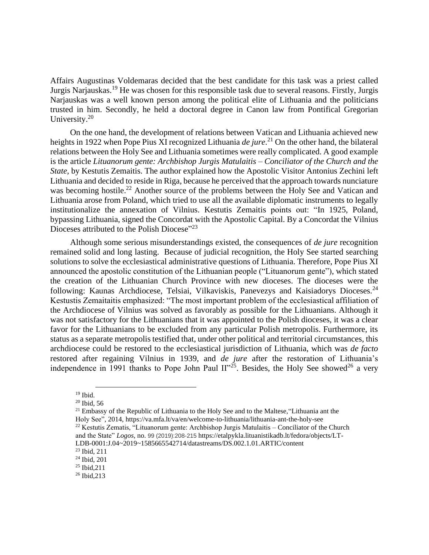Affairs Augustinas Voldemaras decided that the best candidate for this task was a priest called Jurgis Narjauskas.<sup>19</sup> He was chosen for this responsible task due to several reasons. Firstly, Jurgis Narjauskas was a well known person among the political elite of Lithuania and the politicians trusted in him. Secondly, he held a doctoral degree in Canon law from Pontifical Gregorian University.<sup>20</sup>

On the one hand, the development of relations between Vatican and Lithuania achieved new heights in 1922 when Pope Pius XI recognized Lithuania *de jure*. <sup>21</sup> On the other hand, the bilateral relations between the Holy See and Lithuania sometimes were really complicated. A good example is the article *Lituanorum gente: Archbishop Jurgis Matulaitis – Conciliator of the Church and the State*, by Kestutis Zemaitis. The author explained how the Apostolic Visitor Antonius Zechini left Lithuania and decided to reside in Riga, because he perceived that the approach towards nunciature was becoming hostile.<sup>22</sup> Another source of the problems between the Holy See and Vatican and Lithuania arose from Poland, which tried to use all the available diplomatic instruments to legally institutionalize the annexation of Vilnius. Kestutis Zemaitis points out: "In 1925, Poland, bypassing Lithuania, signed the Concordat with the Apostolic Capital. By a Concordat the Vilnius Dioceses attributed to the Polish Diocese"<sup>23</sup>

Although some serious misunderstandings existed, the consequences of *de jure* recognition remained solid and long lasting. Because of judicial recognition, the Holy See started searching solutions to solve the ecclesiastical administrative questions of Lithuania. Therefore, Pope Pius XI announced the apostolic constitution of the Lithuanian people ("Lituanorum gente"), which stated the creation of the Lithuanian Church Province with new dioceses. The dioceses were the following: Kaunas Archdiocese, Telsiai, Vilkaviskis, Panevezys and Kaisiadorys Dioceses.<sup>24</sup> Kestustis Zemaitaitis emphasized: "The most important problem of the ecclesiastical affiliation of the Archdiocese of Vilnius was solved as favorably as possible for the Lithuanians. Although it was not satisfactory for the Lithuanians that it was appointed to the Polish dioceses, it was a clear favor for the Lithuanians to be excluded from any particular Polish metropolis. Furthermore, its status as a separate metropolis testified that, under other political and territorial circumstances, this archdiocese could be restored to the ecclesiastical jurisdiction of Lithuania, which was *de facto* restored after regaining Vilnius in 1939, and *de jure* after the restoration of Lithuania's independence in 1991 thanks to Pope John Paul  $II$ <sup>25</sup>. Besides, the Holy See showed<sup>26</sup> a very

<sup>21</sup> Embassy of the Republic of Lithuania to the Holy See and to the Maltese, "Lithuania ant the Holy See", 2014, https://va.mfa.lt/va/en/welcome-to-lithuania/lithuania-ant-the-holy-see  $22$  Kestutis Zematis, "Lituanorum gente: Archbishop Jurgis Matulaitis – Conciliator of the Church

and the State" *Logos,* no. 99 (2019):208-215 https://etalpykla.lituanistikadb.lt/fedora/objects/LT-LDB-0001:J.04~2019~1585665542714/datastreams/DS.002.1.01.ARTIC/content

 $19$  Ibid.

 $20$  Ibid, 56

<sup>23</sup> Ibid, 211

<sup>24</sup> Ibid, 201

<sup>25</sup> Ibid,211

<sup>26</sup> Ibid,213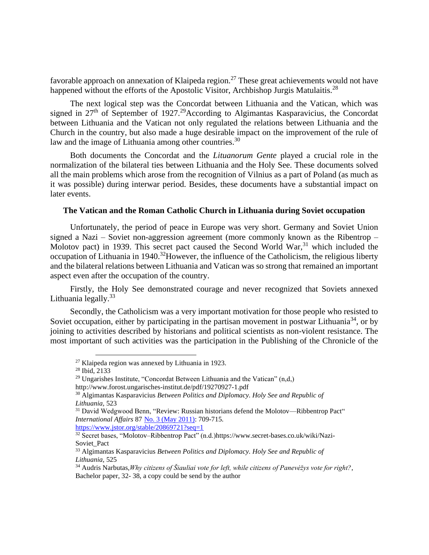favorable approach on annexation of Klaipeda region.<sup>27</sup> These great achievements would not have happened without the efforts of the Apostolic Visitor, Archbishop Jurgis Matulaitis.<sup>28</sup>

The next logical step was the Concordat between Lithuania and the Vatican, which was signed in  $27<sup>th</sup>$  of September of 1927.<sup>29</sup>According to Algimantas Kasparavicius, the Concordat between Lithuania and the Vatican not only regulated the relations between Lithuania and the Church in the country, but also made a huge desirable impact on the improvement of the rule of law and the image of Lithuania among other countries.<sup>30</sup>

Both documents the Concordat and the *Lituanorum Gente* played a crucial role in the normalization of the bilateral ties between Lithuania and the Holy See. These documents solved all the main problems which arose from the recognition of Vilnius as a part of Poland (as much as it was possible) during interwar period. Besides, these documents have a substantial impact on later events.

### **The Vatican and the Roman Catholic Church in Lithuania during Soviet occupation**

Unfortunately, the period of peace in Europe was very short. Germany and Soviet Union signed a Nazi – Soviet non-aggression agreement (more commonly known as the Ribentrop – Molotov pact) in 1939. This secret pact caused the Second World War,<sup>31</sup> which included the occupation of Lithuania in 1940.<sup>32</sup>However, the influence of the Catholicism, the religious liberty and the bilateral relations between Lithuania and Vatican was so strong that remained an important aspect even after the occupation of the country.

Firstly, the Holy See demonstrated courage and never recognized that Soviets annexed Lithuania legally. $33$ 

Secondly, the Catholicism was a very important motivation for those people who resisted to Soviet occupation, either by participating in the partisan movement in postwar Lithuania<sup>34</sup>, or by joining to activities described by historians and political scientists as non-violent resistance. The most important of such activities was the participation in the Publishing of the Chronicle of the

<https://www.jstor.org/stable/20869721?seq=1>

<sup>27</sup> Klaipeda region was annexed by Lithuania in 1923.

<sup>28</sup> Ibid, 2133

<sup>&</sup>lt;sup>29</sup> Ungarishes Institute, "Concordat Between Lithuania and the Vatican"  $(n,d)$ http://www.forost.ungarisches-institut.de/pdf/19270927-1.pdf

<sup>30</sup> Algimantas Kasparavicius *Between Politics and Diplomacy. Holy See and Republic of Lithuania,* 523

<sup>&</sup>lt;sup>31</sup> David Wedgwood Benn, "Review: Russian historians defend the Molotov—Ribbentrop Pact" *International Affairs* 87 [No. 3 \(May 2011\):](https://www.jstor.org/stable/i20869708?refreqid=excelsior%3Adaac1ee8920ce7f3a946904a35f1281b) 709-715.

<sup>32</sup> Secret bases, "Molotov–Ribbentrop Pact" (n.d.)https://www.secret-bases.co.uk/wiki/Nazi-Soviet\_Pact

<sup>33</sup> Algimantas Kasparavicius *Between Politics and Diplomacy. Holy See and Republic of Lithuania,* 525

<sup>34</sup> Audris Narbutas,*Why citizens of Šiauliai vote for left, while citizens of Panevėžys vote for right?*, Bachelor paper, 32- 38, a copy could be send by the author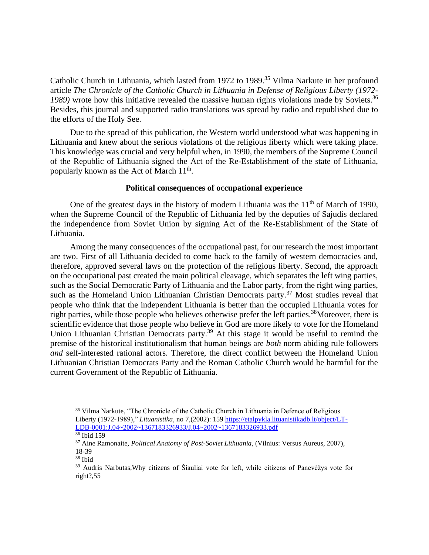Catholic Church in Lithuania, which lasted from 1972 to 1989.<sup>35</sup> Vilma Narkute in her profound article *The Chronicle of the Catholic Church in Lithuania in Defense of Religious Liberty (1972-* 1989) wrote how this initiative revealed the massive human rights violations made by Soviets.<sup>36</sup> Besides, this journal and supported radio translations was spread by radio and republished due to the efforts of the Holy See.

Due to the spread of this publication, the Western world understood what was happening in Lithuania and knew about the serious violations of the religious liberty which were taking place. This knowledge was crucial and very helpful when, in 1990, the members of the Supreme Council of the Republic of Lithuania signed the Act of the Re-Establishment of the state of Lithuania, popularly known as the Act of March  $11<sup>th</sup>$ .

#### **Political consequences of occupational experience**

One of the greatest days in the history of modern Lithuania was the  $11<sup>th</sup>$  of March of 1990, when the Supreme Council of the Republic of Lithuania led by the deputies of Sajudis declared the independence from Soviet Union by signing Act of the Re-Establishment of the State of Lithuania.

Among the many consequences of the occupational past, for our research the most important are two. First of all Lithuania decided to come back to the family of western democracies and, therefore, approved several laws on the protection of the religious liberty. Second, the approach on the occupational past created the main political cleavage, which separates the left wing parties, such as the Social Democratic Party of Lithuania and the Labor party, from the right wing parties, such as the Homeland Union Lithuanian Christian Democrats party.<sup>37</sup> Most studies reveal that people who think that the independent Lithuania is better than the occupied Lithuania votes for right parties, while those people who believes otherwise prefer the left parties.<sup>38</sup>Moreover, there is scientific evidence that those people who believe in God are more likely to vote for the Homeland Union Lithuanian Christian Democrats party.<sup>39</sup> At this stage it would be useful to remind the premise of the historical institutionalism that human beings are *both* norm abiding rule followers *and* self-interested rational actors. Therefore, the direct conflict between the Homeland Union Lithuanian Christian Democrats Party and the Roman Catholic Church would be harmful for the current Government of the Republic of Lithuania.

<sup>&</sup>lt;sup>35</sup> Vilma Narkute, "The Chronicle of the Catholic Church in Lithuania in Defence of Religious Liberty (1972-1989)," *Lituanistika*, no 7,(2002): 159 [https://etalpykla.lituanistikadb.lt/object/LT-](https://etalpykla.lituanistikadb.lt/object/LT-LDB-0001:J.04~2002~1367183326933/J.04~2002~1367183326933.pdf)[LDB-0001:J.04~2002~1367183326933/J.04~2002~1367183326933.pdf](https://etalpykla.lituanistikadb.lt/object/LT-LDB-0001:J.04~2002~1367183326933/J.04~2002~1367183326933.pdf)

<sup>36</sup> Ibid 159

<sup>37</sup> Aine Ramonaite, *Political Anatomy of Post-Soviet Lithuania,* (Vilnius: Versus Aureus, 2007), 18-39

<sup>38</sup> Ibid

<sup>39</sup> Audris Narbutas,Why citizens of Šiauliai vote for left, while citizens of Panevėžys vote for right?,55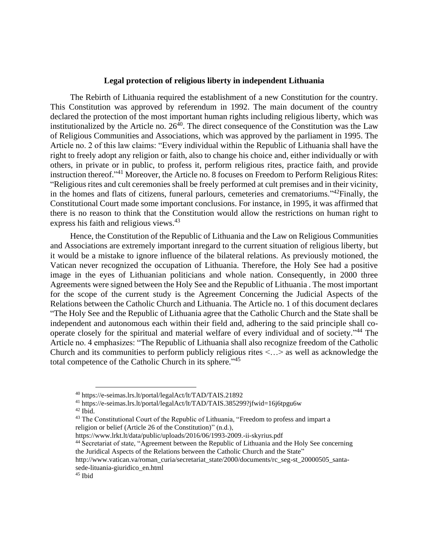### **Legal protection of religious liberty in independent Lithuania**

The Rebirth of Lithuania required the establishment of a new Constitution for the country. This Constitution was approved by referendum in 1992. The main document of the country declared the protection of the most important human rights including religious liberty, which was institutionalized by the Article no.  $26<sup>40</sup>$ . The direct consequence of the Constitution was the Law of Religious Communities and Associations, which was approved by the parliament in 1995. The Article no. 2 of this law claims: "Every individual within the Republic of Lithuania shall have the right to freely adopt any religion or faith, also to change his choice and, either individually or with others, in private or in public, to profess it, perform religious rites, practice faith, and provide instruction thereof."<sup>41</sup> Moreover, the Article no. 8 focuses on Freedom to Perform Religious Rites: "Religious rites and cult ceremonies shall be freely performed at cult premises and in their vicinity, in the homes and flats of citizens, funeral parlours, cemeteries and crematoriums."<sup>42</sup>Finally, the Constitutional Court made some important conclusions. For instance, in 1995, it was affirmed that there is no reason to think that the Constitution would allow the restrictions on human right to express his faith and religious views.<sup>43</sup>

Hence, the Constitution of the Republic of Lithuania and the Law on Religious Communities and Associations are extremely important inregard to the current situation of religious liberty, but it would be a mistake to ignore influence of the bilateral relations. As previously motioned, the Vatican never recognized the occupation of Lithuania. Therefore, the Holy See had a positive image in the eyes of Lithuanian politicians and whole nation. Consequently, in 2000 three Agreements were signed between the Holy See and the Republic of Lithuania . The most important for the scope of the current study is the Agreement Concerning the Judicial Aspects of the Relations between the Catholic Church and Lithuania. The Article no. 1 of this document declares "The Holy See and the Republic of Lithuania agree that the Catholic Church and the State shall be independent and autonomous each within their field and, adhering to the said principle shall cooperate closely for the spiritual and material welfare of every individual and of society."<sup>44</sup> The Article no. 4 emphasizes: "The Republic of Lithuania shall also recognize freedom of the Catholic Church and its communities to perform publicly religious rites  $\langle \ldots \rangle$  as well as acknowledge the total competence of the Catholic Church in its sphere."<sup>45</sup>

https://www.lrkt.lt/data/public/uploads/2016/06/1993-2009.-ii-skyrius.pdf

<sup>40</sup> https://e-seimas.lrs.lt/portal/legalAct/lt/TAD/TAIS.21892

<sup>41</sup> https://e-seimas.lrs.lt/portal/legalAct/lt/TAD/TAIS.385299?jfwid=16j6tpgu6w  $42$  Ibid.

<sup>43</sup> The Constitutional Court of the Republic of Lithuania, "Freedom to profess and impart a religion or belief (Article 26 of the Constitution)" (n.d.),

<sup>44</sup> Secretariat of state, "Agreement between the Republic of Lithuania and the Holy See concerning the Juridical Aspects of the Relations between the Catholic Church and the State"

http://www.vatican.va/roman\_curia/secretariat\_state/2000/documents/rc\_seg-st\_20000505\_santasede-lituania-giuridico\_en.html

<sup>45</sup> Ibid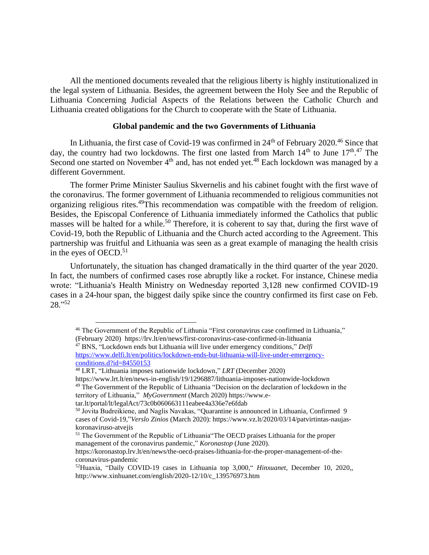All the mentioned documents revealed that the religious liberty is highly institutionalized in the legal system of Lithuania. Besides, the agreement between the Holy See and the Republic of Lithuania Concerning Judicial Aspects of the Relations between the Catholic Church and Lithuania created obligations for the Church to cooperate with the State of Lithuania.

#### **Global pandemic and the two Governments of Lithuania**

In Lithuania, the first case of Covid-19 was confirmed in  $24<sup>th</sup>$  of February 2020.<sup>46</sup> Since that day, the country had two lockdowns. The first one lasted from March  $14<sup>th</sup>$  to June  $17<sup>th</sup>$ .<sup>47</sup> The Second one started on November  $4<sup>th</sup>$  and, has not ended yet.<sup>48</sup> Each lockdown was managed by a different Government.

The former Prime Minister Saulius Skvernelis and his cabinet fought with the first wave of the coronavirus. The former government of Lithuania recommended to religious communities not organizing religious rites.<sup>49</sup>This recommendation was compatible with the freedom of religion. Besides, the Episcopal Conference of Lithuania immediately informed the Catholics that public masses will be halted for a while.<sup>50</sup> Therefore, it is coherent to say that, during the first wave of Covid-19, both the Republic of Lithuania and the Church acted according to the Agreement. This partnership was fruitful and Lithuania was seen as a great example of managing the health crisis in the eyes of OECD. $51$ 

Unfortunately, the situation has changed dramatically in the third quarter of the year 2020. In fact, the numbers of confirmed cases rose abruptly like a rocket. For instance, Chinese media wrote: "Lithuania's Health Ministry on Wednesday reported 3,128 new confirmed COVID-19 cases in a 24-hour span, the biggest daily spike since the country confirmed its first case on Feb. 28." 52

<sup>46</sup> The Government of the Republic of Lithunia "First coronavirus case confirmed in Lithuania," (February 2020) https://lrv.lt/en/news/first-coronavirus-case-confirmed-in-lithuania

<sup>47</sup> BNS, "Lockdown ends but Lithuania will live under emergency conditions," *Delfi* [https://www.delfi.lt/en/politics/lockdown-ends-but-lithuania-will-live-under-emergency](https://www.delfi.lt/en/politics/lockdown-ends-but-lithuania-will-live-under-emergency-conditions.d?id=84550153) $conditions.d$ ?id= $84550153$ 

<sup>48</sup> LRT, "Lithuania imposes nationwide lockdown," *LRT* (December 2020)

https://www.lrt.lt/en/news-in-english/19/1296887/lithuania-imposes-nationwide-lockdown <sup>49</sup> The Government of the Republic of Lithuania "Decision on the declaration of lockdown in the

territory of Lithuania," *MyGovernment* (March 2020) https://www.e-

tar.lt/portal/lt/legalAct/73c0b060663111eabee4a336e7e6fdab

 $50$  Jovita Budreikiene, and Naglis Navakas, "Quarantine is announced in Lithuania, Confirmed 9 cases of Covid-19,"*Verslo Zinios* (March 2020): https://www.vz.lt/2020/03/14/patvirtintas-naujaskoronaviruso-atvejis

<sup>51</sup> The Government of the Republic of Lithuania"The OECD praises Lithuania for the proper management of the coronavirus pandemic," *Koronastop* (June 2020).

https://koronastop.lrv.lt/en/news/the-oecd-praises-lithuania-for-the-proper-management-of-thecoronavirus-pandemic

<sup>52</sup>Huaxia, "Daily COVID-19 cases in Lithuania top 3,000," *Hinxuanet*, December 10, 2020,, http://www.xinhuanet.com/english/2020-12/10/c\_139576973.htm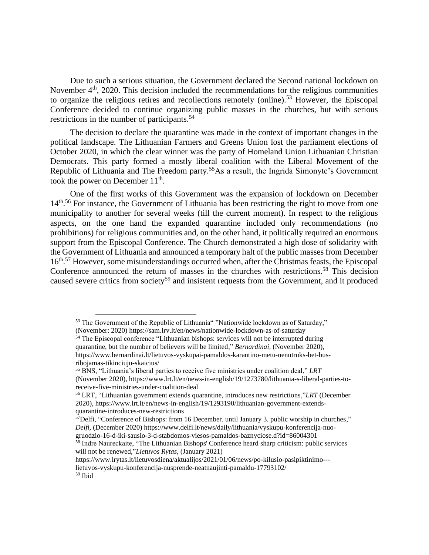Due to such a serious situation, the Government declared the Second national lockdown on November  $4<sup>th</sup>$ , 2020. This decision included the recommendations for the religious communities to organize the religious retires and recollections remotely (online).<sup>53</sup> However, the Episcopal Conference decided to continue organizing public masses in the churches, but with serious restrictions in the number of participants.<sup>54</sup>

The decision to declare the quarantine was made in the context of important changes in the political landscape. The Lithuanian Farmers and Greens Union lost the parliament elections of October 2020, in which the clear winner was the party of Homeland Union Lithuanian Christian Democrats. This party formed a mostly liberal coalition with the Liberal Movement of the Republic of Lithuania and The Freedom party.<sup>55</sup>As a result, the Ingrida Simonyte's Government took the power on December  $11<sup>th</sup>$ .

One of the first works of this Government was the expansion of lockdown on December 14<sup>th</sup>.<sup>56</sup> For instance, the Government of Lithuania has been restricting the right to move from one municipality to another for several weeks (till the current moment). In respect to the religious aspects, on the one hand the expanded quarantine included only recommendations (no prohibitions) for religious communities and, on the other hand, it politically required an enormous support from the Episcopal Conference. The Church demonstrated a high dose of solidarity with the Government of Lithuania and announced a temporary halt of the public masses from December 16<sup>th</sup>.<sup>57</sup> However, some misunderstandings occurred when, after the Christmas feasts, the Episcopal Conference announced the return of masses in the churches with restrictions.<sup>58</sup> This decision caused severe critics from society<sup>59</sup> and insistent requests from the Government, and it produced

<sup>53</sup> The Government of the Republic of Lithuania" "Nationwide lockdown as of Saturday," (November: 2020) https://sam.lrv.lt/en/news/nationwide-lockdown-as-of-saturday

<sup>&</sup>lt;sup>54</sup> The Episcopal conference "Lithuanian bishops: services will not be interrupted during quarantine, but the number of believers will be limited," *Bernardinai,* (November 2020), https://www.bernardinai.lt/lietuvos-vyskupai-pamaldos-karantino-metu-nenutruks-bet-busribojamas-tikinciuju-skaicius/

<sup>55</sup> BNS, "Lithuania's liberal parties to receive five ministries under coalition deal," *LRT* 

<sup>(</sup>November 2020), https://www.lrt.lt/en/news-in-english/19/1273780/lithuania-s-liberal-parties-toreceive-five-ministries-under-coalition-deal

<sup>56</sup> LRT, "Lithuanian government extends quarantine, introduces new restrictions,"*LRT* (December 2020), https://www.lrt.lt/en/news-in-english/19/1293190/lithuanian-government-extendsquarantine-introduces-new-restrictions

<sup>57</sup>Delfi, "Conference of Bishops: from 16 December. until January 3. public worship in churches," *Delfi,* (December 2020) https://www.delfi.lt/news/daily/lithuania/vyskupu-konferencija-nuogruodzio-16-d-iki-sausio-3-d-stabdomos-viesos-pamaldos-baznyciose.d?id=86004301

<sup>&</sup>lt;sup>58</sup> Indre Naureckaite, "The Lithuanian Bishops' Conference heard sharp criticism: public services will not be renewed,"*Lietuvos Rytas,* (January 2021)

https://www.lrytas.lt/lietuvosdiena/aktualijos/2021/01/06/news/po-kilusio-pasipiktinimo---

lietuvos-vyskupu-konferencija-nusprende-neatnaujinti-pamaldu-17793102/

<sup>59</sup> Ibid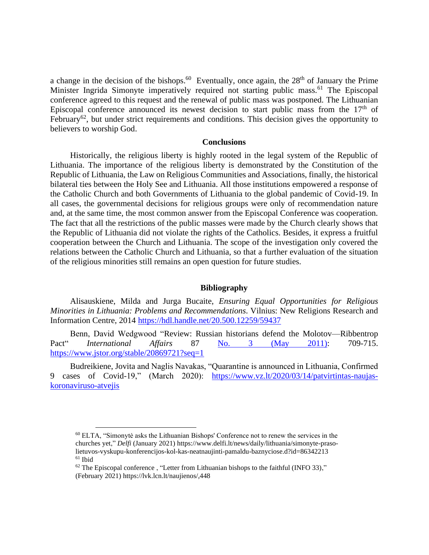a change in the decision of the bishops.<sup>60</sup> Eventually, once again, the  $28<sup>th</sup>$  of January the Prime Minister Ingrida Simonyte imperatively required not starting public mass.<sup>61</sup> The Episcopal conference agreed to this request and the renewal of public mass was postponed. The Lithuanian Episcopal conference announced its newest decision to start public mass from the  $17<sup>th</sup>$  of February<sup>62</sup>, but under strict requirements and conditions. This decision gives the opportunity to believers to worship God.

#### **Conclusions**

Historically, the religious liberty is highly rooted in the legal system of the Republic of Lithuania. The importance of the religious liberty is demonstrated by the Constitution of the Republic of Lithuania, the Law on Religious Communities and Associations, finally, the historical bilateral ties between the Holy See and Lithuania. All those institutions empowered a response of the Catholic Church and both Governments of Lithuania to the global pandemic of Covid-19. In all cases, the governmental decisions for religious groups were only of recommendation nature and, at the same time, the most common answer from the Episcopal Conference was cooperation. The fact that all the restrictions of the public masses were made by the Church clearly shows that the Republic of Lithuania did not violate the rights of the Catholics. Besides, it express a fruitful cooperation between the Church and Lithuania. The scope of the investigation only covered the relations between the Catholic Church and Lithuania, so that a further evaluation of the situation of the religious minorities still remains an open question for future studies.

#### **Bibliography**

Alisauskiene, Milda and Jurga Bucaite, *Ensuring Equal Opportunities for Religious Minorities in Lithuania: Problems and Recommendations*. Vilnius: New Religions Research and Information Centre, 2014 <https://hdl.handle.net/20.500.12259/59437>

Benn, David Wedgwood "Review: Russian historians defend the Molotov—Ribbentrop Pact" *International Affairs* 87 [No. 3 \(May 2011\):](https://www.jstor.org/stable/i20869708?refreqid=excelsior%3Adaac1ee8920ce7f3a946904a35f1281b) 709-715. <https://www.jstor.org/stable/20869721?seq=1>

Budreikiene, Jovita and Naglis Navakas, "Quarantine is announced in Lithuania, Confirmed 9 cases of Covid-19," (March 2020): [https://www.vz.lt/2020/03/14/patvirtintas-naujas](https://www.vz.lt/2020/03/14/patvirtintas-naujas-koronaviruso-atvejis)[koronaviruso-atvejis](https://www.vz.lt/2020/03/14/patvirtintas-naujas-koronaviruso-atvejis)

<sup>60</sup> ELTA, "Simonytė asks the Lithuanian Bishops' Conference not to renew the services in the churches yet," *Delfi* (January 2021) https://www.delfi.lt/news/daily/lithuania/simonyte-prasolietuvos-vyskupu-konferencijos-kol-kas-neatnaujinti-pamaldu-baznyciose.d?id=86342213 <sup>61</sup> Ibid

 $62$  The Episcopal conference, "Letter from Lithuanian bishops to the faithful (INFO 33)," (February 2021) https://lvk.lcn.lt/naujienos/,448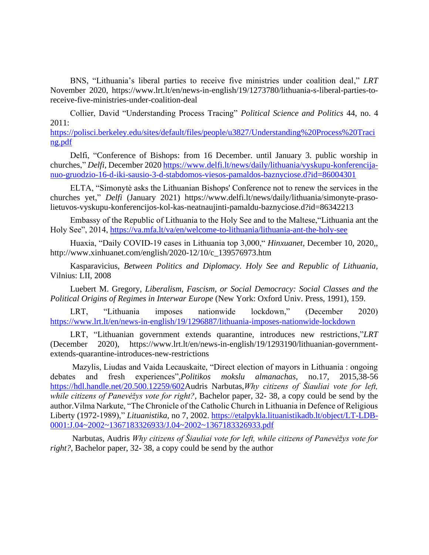BNS, "Lithuania's liberal parties to receive five ministries under coalition deal," *LRT*  November 2020, https://www.lrt.lt/en/news-in-english/19/1273780/lithuania-s-liberal-parties-toreceive-five-ministries-under-coalition-deal

Collier, David "Understanding Process Tracing" *Political Science and Politics* 44, no. 4 2011:

[https://polisci.berkeley.edu/sites/default/files/people/u3827/Understanding%20Process%20Traci](https://polisci.berkeley.edu/sites/default/files/people/u3827/Understanding%20Process%20Tracing.pdf) [ng.pdf](https://polisci.berkeley.edu/sites/default/files/people/u3827/Understanding%20Process%20Tracing.pdf)

Delfi, "Conference of Bishops: from 16 December. until January 3. public worship in churches," *Delfi,* December 2020 [https://www.delfi.lt/news/daily/lithuania/vyskupu-konferencija](https://www.delfi.lt/news/daily/lithuania/vyskupu-konferencija-nuo-gruodzio-16-d-iki-sausio-3-d-stabdomos-viesos-pamaldos-baznyciose.d?id=86004301)[nuo-gruodzio-16-d-iki-sausio-3-d-stabdomos-viesos-pamaldos-baznyciose.d?id=86004301](https://www.delfi.lt/news/daily/lithuania/vyskupu-konferencija-nuo-gruodzio-16-d-iki-sausio-3-d-stabdomos-viesos-pamaldos-baznyciose.d?id=86004301)

ELTA, "Simonytė asks the Lithuanian Bishops' Conference not to renew the services in the churches yet," *Delfi* (January 2021) https://www.delfi.lt/news/daily/lithuania/simonyte-prasolietuvos-vyskupu-konferencijos-kol-kas-neatnaujinti-pamaldu-baznyciose.d?id=86342213

Embassy of the Republic of Lithuania to the Holy See and to the Maltese,"Lithuania ant the Holy See", 2014,<https://va.mfa.lt/va/en/welcome-to-lithuania/lithuania-ant-the-holy-see>

Huaxia, "Daily COVID-19 cases in Lithuania top 3,000," *Hinxuanet*, December 10, 2020,, http://www.xinhuanet.com/english/2020-12/10/c\_139576973.htm

Kasparavicius, *Between Politics and Diplomacy. Holy See and Republic of Lithuania,* Vilnius: LII, 2008

Luebert M. Gregory, *Liberalism, Fascism, or Social Democracy: Social Classes and the Political Origins of Regimes in Interwar Europe* (New York: Oxford Univ. Press, 1991), 159.

LRT, "Lithuania imposes nationwide lockdown," (December 2020) <https://www.lrt.lt/en/news-in-english/19/1296887/lithuania-imposes-nationwide-lockdown>

LRT, "Lithuanian government extends quarantine, introduces new restrictions,"*LRT* (December 2020), https://www.lrt.lt/en/news-in-english/19/1293190/lithuanian-governmentextends-quarantine-introduces-new-restrictions

Mazylis, Liudas and Vaida Lecauskaite, "Direct election of mayors in Lithuania : ongoing debates and fresh experiences",*Politikos mokslu almanachas,* no.17, 2015,38-56 [https://hdl.handle.net/20.500.12259/602A](https://hdl.handle.net/20.500.12259/602)udris Narbutas,*Why citizens of Šiauliai vote for left, while citizens of Panevėžys vote for right?*, Bachelor paper, 32- 38, a copy could be send by the author.Vilma Narkute, "The Chronicle of the Catholic Church in Lithuania in Defence of Religious Liberty (1972-1989)," *Lituanistika,* no 7, 2002. [https://etalpykla.lituanistikadb.lt/object/LT-LDB-](https://etalpykla.lituanistikadb.lt/object/LT-LDB-0001:J.04~2002~1367183326933/J.04~2002~1367183326933.pdf)[0001:J.04~2002~1367183326933/J.04~2002~1367183326933.pdf](https://etalpykla.lituanistikadb.lt/object/LT-LDB-0001:J.04~2002~1367183326933/J.04~2002~1367183326933.pdf)

Narbutas, Audris *Why citizens of Šiauliai vote for left, while citizens of Panevėžys vote for right?*, Bachelor paper, 32- 38, a copy could be send by the author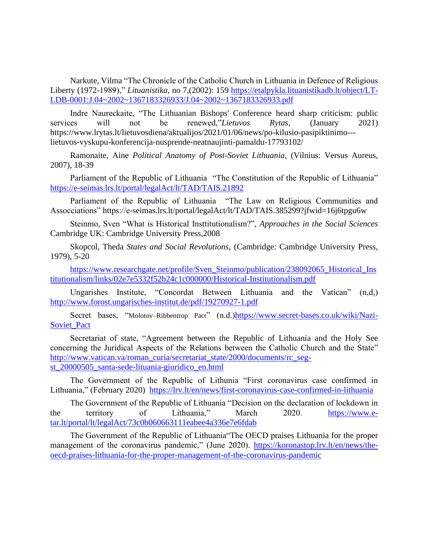Narkute, Vilma "The Chronicle of the Catholic Church in Lithuania in Defence of Religious Liberty (1972-1989)," *Lituanistika,* no 7,(2002): 159 [https://etalpykla.lituanistikadb.lt/object/LT-](https://etalpykla.lituanistikadb.lt/object/LT-LDB-0001:J.04~2002~1367183326933/J.04~2002~1367183326933.pdf)[LDB-0001:J.04~2002~1367183326933/J.04~2002~1367183326933.pdf](https://etalpykla.lituanistikadb.lt/object/LT-LDB-0001:J.04~2002~1367183326933/J.04~2002~1367183326933.pdf)

Indre Naureckaite, "The Lithuanian Bishops' Conference heard sharp criticism: public services will not be renewed,"*Lietuvos Rytas,* (January 2021) https://www.lrytas.lt/lietuvosdiena/aktualijos/2021/01/06/news/po-kilusio-pasipiktinimo-- lietuvos-vyskupu-konferencija-nusprende-neatnaujinti-pamaldu-17793102/

Ramonaite, Aine *Political Anatomy of Post-Soviet Lithuania,* (Vilnius: Versus Aureus, 2007), 18-39

Parliament of the Republic of Lithuania "The Constitution of the Republic of Lithuania" <https://e-seimas.lrs.lt/portal/legalAct/lt/TAD/TAIS.21892>

Parliament of the Republic of Lithuania "The Law on Religious Communities and Assocciations" https://e-seimas.lrs.lt/portal/legalAct/lt/TAD/TAIS.385299?jfwid=16j6tpgu6w

Steinmo, Sven "What is Historical Insttitutionalism?", *Approaches in the Social Sciences* Cambridge UK: Cambridge University Press,2008

Skopcol, Theda *States and Social Revolutions,* (Cambridge: Cambridge University Press, 1979), 5-20

[https://www.researchgate.net/profile/Sven\\_Steinmo/publication/238092065\\_Historical\\_Ins](https://www.researchgate.net/profile/Sven_Steinmo/publication/238092065_Historical_Institutionalism/links/02e7e5332f52b24c1c000000/Historical-Institutionalism.pdf) [titutionalism/links/02e7e5332f52b24c1c000000/Historical-Institutionalism.pdf](https://www.researchgate.net/profile/Sven_Steinmo/publication/238092065_Historical_Institutionalism/links/02e7e5332f52b24c1c000000/Historical-Institutionalism.pdf)

Ungarishes Institute, "Concordat Between Lithuania and the Vatican" (n,d,) <http://www.forost.ungarisches-institut.de/pdf/19270927-1.pdf>

Secret bases, "Molotov-Ribbentrop Pact" (n.d.[\)https://www.secret-bases.co.uk/wiki/Nazi-](https://www.secret-bases.co.uk/wiki/Nazi-Soviet_Pact)Soviet Pact

Secretariat of state, "Agreement between the Republic of Lithuania and the Holy See concerning the Juridical Aspects of the Relations between the Catholic Church and the State" [http://www.vatican.va/roman\\_curia/secretariat\\_state/2000/documents/rc\\_seg](http://www.vatican.va/roman_curia/secretariat_state/2000/documents/rc_seg-st_20000505_santa-sede-lituania-giuridico_en.html)st 20000505 santa-sede-lituania-giuridico en.html

The Government of the Republic of Lithunia "First coronavirus case confirmed in Lithuania," (February 2020) <https://lrv.lt/en/news/first-coronavirus-case-confirmed-in-lithuania>

The Government of the Republic of Lithuania "Decision on the declaration of lockdown in the territory of Lithuania," March 2020. [https://www.e](https://www.e-tar.lt/portal/lt/legalAct/73c0b060663111eabee4a336e7e6fdab)[tar.lt/portal/lt/legalAct/73c0b060663111eabee4a336e7e6fdab](https://www.e-tar.lt/portal/lt/legalAct/73c0b060663111eabee4a336e7e6fdab)

The Government of the Republic of Lithuania"The OECD praises Lithuania for the proper management of the coronavirus pandemic," (June 2020). [https://koronastop.lrv.lt/en/news/the](https://koronastop.lrv.lt/en/news/the-oecd-praises-lithuania-for-the-proper-management-of-the-coronavirus-pandemic)[oecd-praises-lithuania-for-the-proper-management-of-the-coronavirus-pandemic](https://koronastop.lrv.lt/en/news/the-oecd-praises-lithuania-for-the-proper-management-of-the-coronavirus-pandemic)